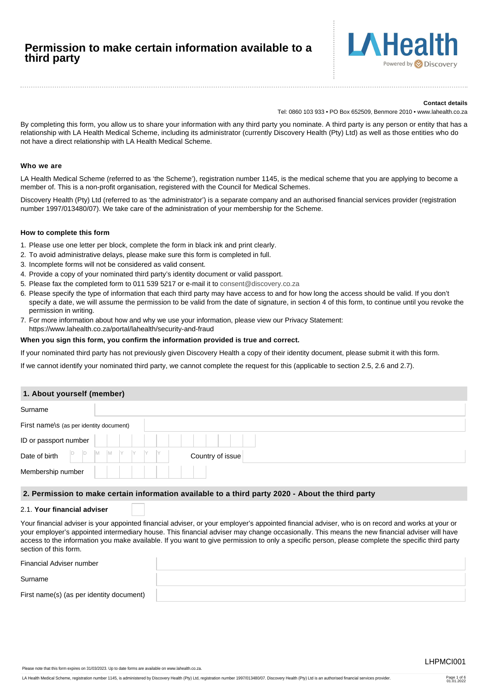# **Permission to make certain information available to a third party**



### **Contact details**

Tel: 0860 103 933 • PO Box 652509, Benmore 2010 • www.lahealth.co.za

By completing this form, you allow us to share your information with any third party you nominate. A third party is any person or entity that has a relationship with LA Health Medical Scheme, including its administrator (currently Discovery Health (Pty) Ltd) as well as those entities who do not have a direct relationship with LA Health Medical Scheme.

# **Who we are**

LA Health Medical Scheme (referred to as 'the Scheme'), registration number 1145, is the medical scheme that you are applying to become a member of. This is a non-profit organisation, registered with the Council for Medical Schemes.

Discovery Health (Pty) Ltd (referred to as 'the administrator') is a separate company and an authorised financial services provider (registration number 1997/013480/07). We take care of the administration of your membership for the Scheme.

# **How to complete this form**

- 1. Please use one letter per block, complete the form in black ink and print clearly.
- 2. To avoid administrative delays, please make sure this form is completed in full.
- 3. Incomplete forms will not be considered as valid consent.
- 4. Provide a copy of your nominated third party's identity document or valid passport.
- 5. Please fax the completed form to 011 539 5217 or e-mail it to [consent@discovery.co.za](mailto:consent@discovery.co.za)
- 6. Please specify the type of information that each third party may have access to and for how long the access should be valid. If you don't specify a date, we will assume the permission to be valid from the date of signature, in section 4 of this form, to continue until you revoke the permission in writing.
- 7. For more information about how and why we use your information, please view our Privacy Statement: https://www.lahealth.co.za/portal/lahealth/security-and-fraud

# **When you sign this form, you confirm the information provided is true and correct.**

If your nominated third party has not previously given Discovery Health a copy of their identity document, please submit it with this form.

If we cannot identify your nominated third party, we cannot complete the request for this (applicable to section 2.5, 2.6 and 2.7).

# **1. About yourself (member)**

| Surname                                 |                                                  |
|-----------------------------------------|--------------------------------------------------|
| First name\s (as per identity document) |                                                  |
| ID or passport number                   |                                                  |
| $D$ $D$<br>Date of birth                | $ M$ $ M$ $Y$<br>IY .<br>IY.<br>Country of issue |
| Membership number                       |                                                  |

# **2. Permission to make certain information available to a third party 2020 - About the third party**

## 2.1. **Your financial adviser**

Your financial adviser is your appointed financial adviser, or your employer's appointed financial adviser, who is on record and works at your or your employer's appointed intermediary house. This financial adviser may change occasionally. This means the new financial adviser will have access to the information you make available. If you want to give permission to only a specific person, please complete the specific third party section of this form.

| Financial Adviser number                 |  |
|------------------------------------------|--|
| Surname                                  |  |
| First name(s) (as per identity document) |  |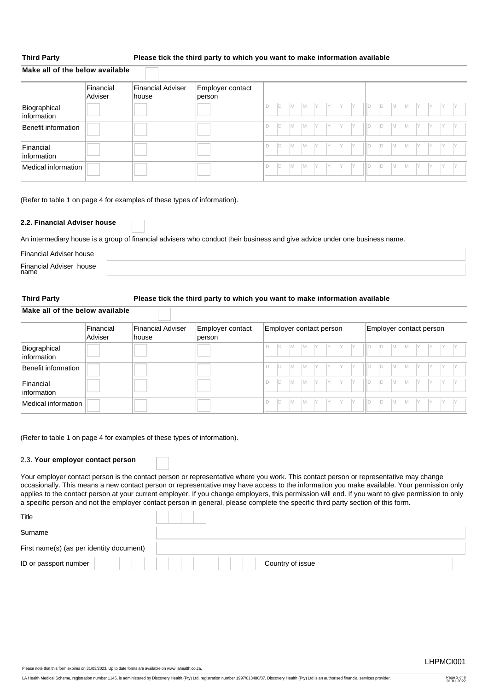**Make all of the below available**

# **Third Party Please tick the third party to which you want to make information available**

|                             | Financial<br>Adviser | <b>Financial Adviser</b><br>∣house | Employer contact<br>person |    |     |     |           |     |     |     |     |    |     |           |         |    |     |     |
|-----------------------------|----------------------|------------------------------------|----------------------------|----|-----|-----|-----------|-----|-----|-----|-----|----|-----|-----------|---------|----|-----|-----|
| Biographical<br>information |                      |                                    |                            | ID | IM. | IM. | IY.       | IY. | IY. | IY  | ID  | D  | l M | <b>IM</b> | IY      | IY | IY. | IY  |
| Benefit information         |                      |                                    |                            | ID | IM. | IM. | <b>IY</b> | IY  | IY. | IY  | 1ID | ID | l M | <b>IM</b> | IY.     | IY | IY. | IY  |
| Financial<br>information    |                      |                                    |                            | ID | IM. | IM. | Y Y       |     | IY. | IY  | 1D  | D  | l M | M         | $ Y $ . | IY | IY. | IY. |
| Medical information         |                      |                                    |                            | ID | IM. | IM. | IY.       | Y   | Y   | IY. | ID  | ID | M   | <b>IM</b> | IY      | IY | IY. | IY. |

(Refer to table 1 on page 4 for examples of these types of information).

# **2.2. Financial Adviser house**

An intermediary house is a group of financial advisers who conduct their business and give advice under one business name.

| Financial Adviser house         |  |
|---------------------------------|--|
| Financial Adviser house<br>name |  |
|                                 |  |

# **Third Party Please tick the third party to which you want to make information available**

**Make all of the below available**

|                             | Financial<br>Adviser | Financial Adviser<br>∣house | Employer contact<br>person |    |     |          | Employer contact person |      |         |  |    |    |           |                | Employer contact person |     |  |
|-----------------------------|----------------------|-----------------------------|----------------------------|----|-----|----------|-------------------------|------|---------|--|----|----|-----------|----------------|-------------------------|-----|--|
| Biographical<br>information |                      |                             |                            | ID | IM. | IM.      | IY .                    | ly - | IY      |  |    | IМ | <b>IM</b> | $\mathsf{I}$ Y | IY                      | IY. |  |
| Benefit information         |                      |                             |                            | D  | IM. | <b>M</b> | IY.                     | IY.  | IY.     |  |    | M  | <b>M</b>  | IY .           | Y                       | IY. |  |
| Financial<br>information    |                      |                             |                            | ID | IM. | IM.      | IY.                     | IY.  | IY      |  | ID | IМ | IM.       | IY             | IY                      |     |  |
| Medical information         |                      |                             |                            | ID | IM. | IM.      | IY .                    |      | $Y$ $Y$ |  | ID | IМ | <b>IM</b> | Y              | $\mathsf{I}$ Y          | IY. |  |

(Refer to table 1 on page 4 for examples of these types of information).

### 2.3. **Your employer contact person**

Your employer contact person is the contact person or representative where you work. This contact person or representative may change occasionally. This means a new contact person or representative may have access to the information you make available. Your permission only applies to the contact person at your current employer. If you change employers, this permission will end. If you want to give permission to only a specific person and not the employer contact person in general, please complete the specific third party section of this form.

| Title                                    |                  |
|------------------------------------------|------------------|
| Surname                                  |                  |
| First name(s) (as per identity document) |                  |
| ID or passport number                    | Country of issue |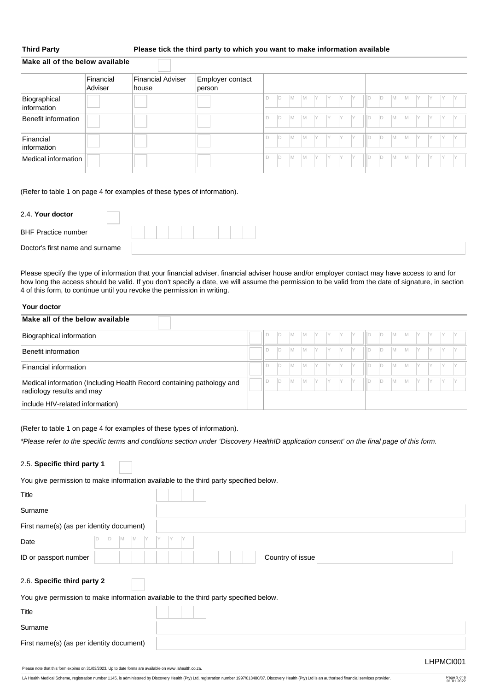**Make all of the below available**

# **Third Party Please tick the third party to which you want to make information available**

|                             | Financial<br>Adviser | Financial Adviser<br>∣house | Employer contact<br>person |    |     |     |           |           |     |     |           |        |    |           |          |     |     |     |  |
|-----------------------------|----------------------|-----------------------------|----------------------------|----|-----|-----|-----------|-----------|-----|-----|-----------|--------|----|-----------|----------|-----|-----|-----|--|
| Biographical<br>information |                      |                             |                            | ID | ID. | IM. | IM.       | Y         | IY. | IY. | <b>IY</b> | -III D | D  | <b>IM</b> | <b>M</b> | IY. | IY. | IY. |  |
| Benefit information         |                      |                             |                            | ID | ID. | IM. | <b>IM</b> | Y         | IY. | IY. | IY.       | -III D | ID | IM.       | IM.      | Y   | IY. | IY. |  |
| Financial<br>information    |                      |                             |                            | ID | ID  | IM. | <b>IM</b> | <b>IY</b> | IY. | IY. | IY.       | ilid   | ID | <b>IM</b> | <b>M</b> | IY  | IY. | IY. |  |
| Medical information         |                      |                             |                            | ID | ID  | IM. | <b>IM</b> | IY        | IY  | IY. | IY        | IIId   | D  | İМ.       | <b>M</b> | IY  | IY  | IY  |  |

(Refer to table 1 on page 4 for examples of these types of information).

| 2.4. Your doctor                |  |
|---------------------------------|--|
| <b>BHF Practice number</b>      |  |
| Doctor's first name and surname |  |

Please specify the type of information that your financial adviser, financial adviser house and/or employer contact may have access to and for how long the access should be valid. If you don't specify a date, we will assume the permission to be valid from the date of signature, in section 4 of this form, to continue until you revoke the permission in writing.

# **Your doctor**

| Make all of the below available                                                                    |  |   |   |     |     |    |  |    |    |   |   |  |  |
|----------------------------------------------------------------------------------------------------|--|---|---|-----|-----|----|--|----|----|---|---|--|--|
| Biographical information                                                                           |  |   |   | M   | IМ  |    |  |    | ID | M |   |  |  |
| Benefit information                                                                                |  |   | D | M   | IМ  |    |  |    | D  | M |   |  |  |
| Financial information                                                                              |  | D | M | M   |     |    |  | ID | M  |   |   |  |  |
| Medical information (Including Health Record containing pathology and<br>radiology results and may |  |   | D | IM. | IM. | IY |  | D  | ID | M | M |  |  |
| include HIV-related information)                                                                   |  |   |   |     |     |    |  |    |    |   |   |  |  |

(Refer to table 1 on page 4 for examples of these types of information).

*\*Please refer to the specific terms and conditions section under 'Discovery HealthID application consent' on the final page of this form.*

| 2.5. Specific third party 1                                                           |                  |
|---------------------------------------------------------------------------------------|------------------|
| You give permission to make information available to the third party specified below. |                  |
| Title                                                                                 |                  |
| Surname                                                                               |                  |
| First name(s) (as per identity document)                                              |                  |
| M<br>Iм<br>Date                                                                       |                  |
| ID or passport number                                                                 | Country of issue |
| 2.6. Specific third party 2                                                           |                  |
| You give permission to make information available to the third party specified below. |                  |
| <b>Title</b>                                                                          |                  |
| Surname                                                                               |                  |
| First name(s) (as per identity document)                                              |                  |
|                                                                                       | LHPMCI001        |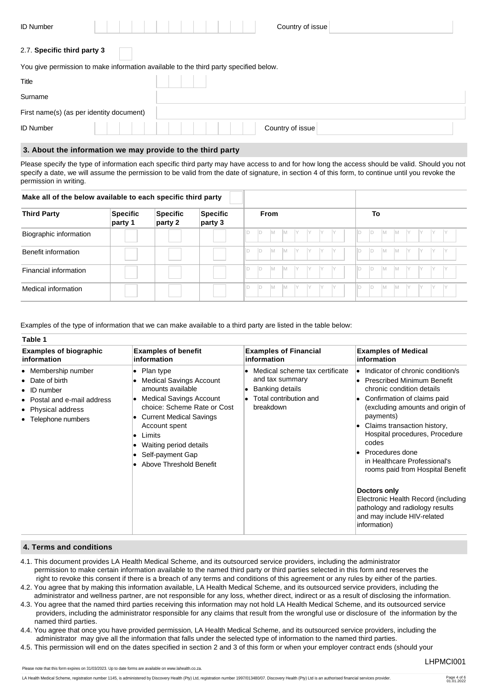| <b>ID Number</b>                         | Country of issue                                                                      |
|------------------------------------------|---------------------------------------------------------------------------------------|
| 2.7. Specific third party 3              |                                                                                       |
|                                          | You give permission to make information available to the third party specified below. |
| Title                                    |                                                                                       |
| Surname                                  |                                                                                       |
| First name(s) (as per identity document) |                                                                                       |
| <b>ID Number</b>                         | Country of issue                                                                      |

# **3. About the information we may provide to the third party**

Please specify the type of information each specific third party may have access to and for how long the access should be valid. Should you not specify a date, we will assume the permission to be valid from the date of signature, in section 4 of this form, to continue until you revoke the permission in writing.

| <b>Third Party</b>     | <b>Specific</b><br>party 1 | Specific<br>party 2 | <b>Specific</b><br>party 3 |    |    | <b>From</b> |          |  |   |  | To |   |    |        |    |  |
|------------------------|----------------------------|---------------------|----------------------------|----|----|-------------|----------|--|---|--|----|---|----|--------|----|--|
| Biographic information |                            |                     |                            |    | ID | M           | <b>M</b> |  | Y |  |    | M | ΙM | $\vee$ | IY |  |
| Benefit information    |                            |                     |                            | D  | ID | M           | IM.      |  |   |  |    | M | M  |        |    |  |
| Financial information  |                            |                     |                            | D  | ID | M           | IM.      |  |   |  |    | M | M  |        |    |  |
| Medical information    |                            |                     |                            | ID | ID | M           | IM.      |  |   |  |    | M | M  |        |    |  |

Examples of the type of information that we can make available to a third party are listed in the table below:

| <b>Examples of biographic</b>                                                                                                           | <b>Examples of benefit</b>                                                                                                                                                                                                                                                     | <b>Examples of Financial</b>                                                                                | <b>Examples of Medical</b>                                                                                                                                                                                                                                                                                                                                                                                                                                                                          |
|-----------------------------------------------------------------------------------------------------------------------------------------|--------------------------------------------------------------------------------------------------------------------------------------------------------------------------------------------------------------------------------------------------------------------------------|-------------------------------------------------------------------------------------------------------------|-----------------------------------------------------------------------------------------------------------------------------------------------------------------------------------------------------------------------------------------------------------------------------------------------------------------------------------------------------------------------------------------------------------------------------------------------------------------------------------------------------|
| information                                                                                                                             | information                                                                                                                                                                                                                                                                    | information                                                                                                 | information                                                                                                                                                                                                                                                                                                                                                                                                                                                                                         |
| • Membership number<br>Date of birth<br>$\bullet$ ID number<br>• Postal and e-mail address<br>• Physical address<br>• Telephone numbers | • Plan type<br><b>Medical Savings Account</b><br>amounts available<br><b>Medical Savings Account</b><br>choice: Scheme Rate or Cost<br><b>Current Medical Savings</b><br>Account spent<br>Limits<br>٠<br>Waiting period details<br>Self-payment Gap<br>Above Threshold Benefit | Medical scheme tax certificate<br>and tax summary<br>Banking details<br>Total contribution and<br>breakdown | • Indicator of chronic condition/s<br><b>Prescribed Minimum Benefit</b><br>٠<br>chronic condition details<br>Confirmation of claims paid<br>(excluding amounts and origin of<br>payments)<br>Claims transaction history,<br>Hospital procedures, Procedure<br>codes<br>Procedures done<br>in Healthcare Professional's<br>rooms paid from Hospital Benefit<br>Doctors only<br>Electronic Health Record (including<br>pathology and radiology results<br>and may include HIV-related<br>information) |

# **4. Terms and conditions**

- 4.1. This document provides LA Health Medical Scheme, and its outsourced service providers, including the administrator permission to make certain information available to the named third party or third parties selected in this form and reserves the right to revoke this consent if there is a breach of any terms and conditions of this agreement or any rules by either of the parties.
- 4.2. You agree that by making this information available, LA Health Medical Scheme, and its outsourced service providers, including the administrator and wellness partner, are not responsible for any loss, whether direct, indirect or as a result of disclosing the information.
- 4.3. You agree that the named third parties receiving this information may not hold LA Health Medical Scheme, and its outsourced service providers, including the administrator responsible for any claims that result from the wrongful use or disclosure of the information by the named third parties.
- 4.4. You agree that once you have provided permission, LA Health Medical Scheme, and its outsourced service providers, including the administrator may give all the information that falls under the selected type of information to the named third parties.
- 4.5. This permission will end on the dates specified in section 2 and 3 of this form or when your employer contract ends (should your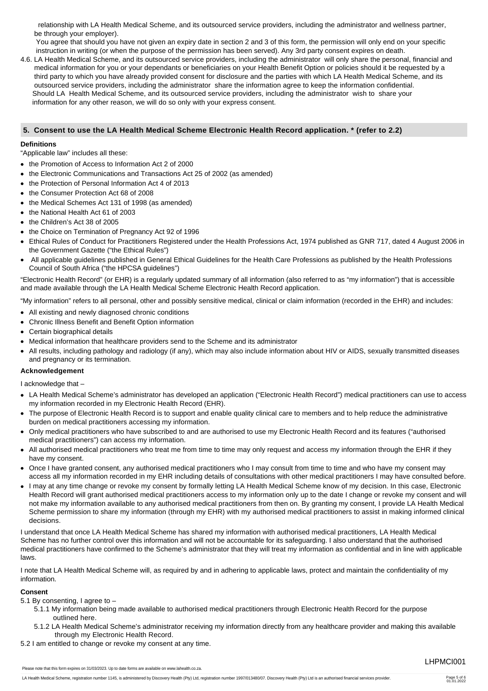relationship with LA Health Medical Scheme, and its outsourced service providers, including the administrator and wellness partner, be through your employer).

 You agree that should you have not given an expiry date in section 2 and 3 of this form, the permission will only end on your specific instruction in writing (or when the purpose of the permission has been served). Any 3rd party consent expires on death.

4.6. LA Health Medical Scheme, and its outsourced service providers, including the administrator will only share the personal, financial and medical information for you or your dependants or beneficiaries on your Health Benefit Option or policies should it be requested by a third party to which you have already provided consent for disclosure and the parties with which LA Health Medical Scheme, and its outsourced service providers, including the administrator share the information agree to keep the information confidential. Should LA Health Medical Scheme, and its outsourced service providers, including the administrator wish to share your information for any other reason, we will do so only with your express consent.

# **5. Consent to use the LA Health Medical Scheme Electronic Health Record application. \* (refer to 2.2)**

# **Definitions**

"Applicable law" includes all these:

- the Promotion of Access to Information Act 2 of 2000
- the Electronic Communications and Transactions Act 25 of 2002 (as amended)
- the Protection of Personal Information Act 4 of 2013
- the Consumer Protection Act 68 of 2008
- the Medical Schemes Act 131 of 1998 (as amended)
- the National Health Act 61 of 2003
- the Children's Act 38 of 2005
- the Choice on Termination of Pregnancy Act 92 of 1996
- Ethical Rules of Conduct for Practitioners Registered under the Health Professions Act, 1974 published as GNR 717, dated 4 August 2006 in the Government Gazette ("the Ethical Rules")
- All applicable guidelines published in General Ethical Guidelines for the Health Care Professions as published by the Health Professions Council of South Africa ("the HPCSA guidelines")

"Electronic Health Record" (or EHR) is a regularly updated summary of all information (also referred to as "my information") that is accessible and made available through the LA Health Medical Scheme Electronic Health Record application.

"My information" refers to all personal, other and possibly sensitive medical, clinical or claim information (recorded in the EHR) and includes:

- All existing and newly diagnosed chronic conditions
- Chronic Illness Benefit and Benefit Option information
- Certain biographical details
- Medical information that healthcare providers send to the Scheme and its administrator
- All results, including pathology and radiology (if any), which may also include information about HIV or AIDS, sexually transmitted diseases and pregnancy or its termination.

# **Acknowledgement**

I acknowledge that –

- LA Health Medical Scheme's administrator has developed an application ("Electronic Health Record") medical practitioners can use to access my information recorded in my Electronic Health Record (EHR).
- The purpose of Electronic Health Record is to support and enable quality clinical care to members and to help reduce the administrative burden on medical practitioners accessing my information.
- Only medical practitioners who have subscribed to and are authorised to use my Electronic Health Record and its features ("authorised medical practitioners") can access my information.
- All authorised medical practitioners who treat me from time to time may only request and access my information through the EHR if they have my consent.
- Once I have granted consent, any authorised medical practitioners who I may consult from time to time and who have my consent may access all my information recorded in my EHR including details of consultations with other medical practitioners I may have consulted before.
- I may at any time change or revoke my consent by formally letting LA Health Medical Scheme know of my decision. In this case, Electronic Health Record will grant authorised medical practitioners access to my information only up to the date I change or revoke my consent and will not make my information available to any authorised medical practitioners from then on. By granting my consent, I provide LA Health Medical Scheme permission to share my information (through my EHR) with my authorised medical practitioners to assist in making informed clinical decisions.

I understand that once LA Health Medical Scheme has shared my information with authorised medical practitioners, LA Health Medical Scheme has no further control over this information and will not be accountable for its safeguarding. I also understand that the authorised medical practitioners have confirmed to the Scheme's administrator that they will treat my information as confidential and in line with applicable laws.

I note that LA Health Medical Scheme will, as required by and in adhering to applicable laws, protect and maintain the confidentiality of my information.

# **Consent**

5.1 By consenting, I agree to –

- 5.1.1 My information being made available to authorised medical practitioners through Electronic Health Record for the purpose outlined here.
- 5.1.2 LA Health Medical Scheme's administrator receiving my information directly from any healthcare provider and making this available through my Electronic Health Record.
- 5.2 I am entitled to change or revoke my consent at any time.